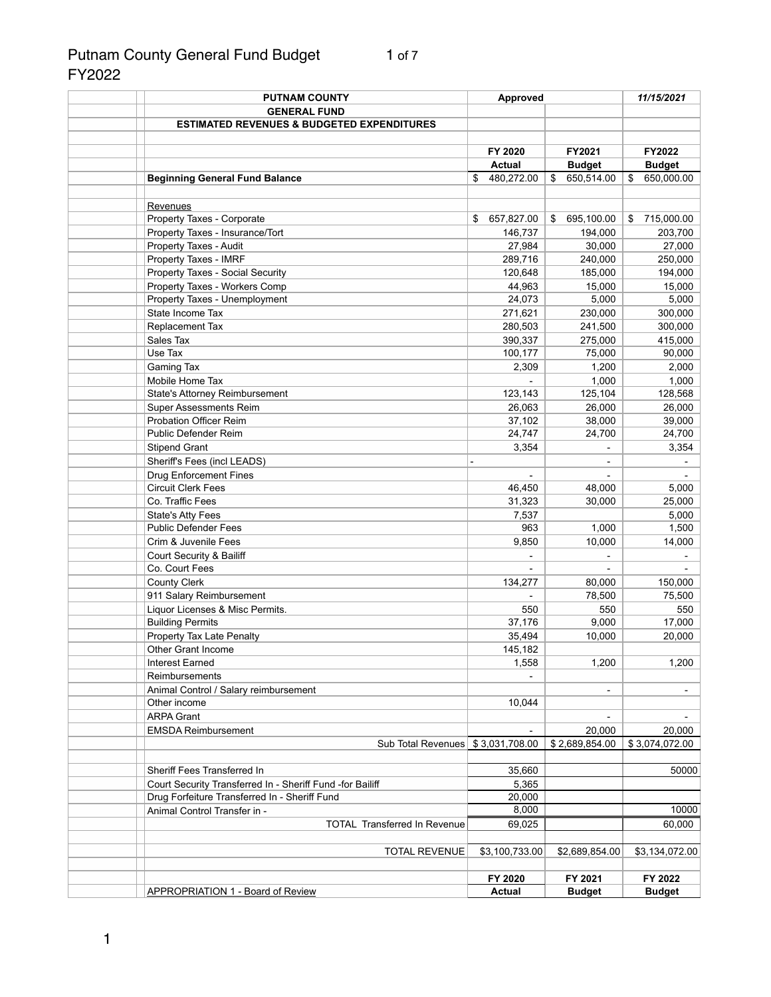# Putnam County General Fund Budget 1 of 7 FY2022

| <b>PUTNAM COUNTY</b>                                                          | <b>Approved</b>  |                  | 11/15/2021       |
|-------------------------------------------------------------------------------|------------------|------------------|------------------|
| <b>GENERAL FUND</b>                                                           |                  |                  |                  |
| <b>ESTIMATED REVENUES &amp; BUDGETED EXPENDITURES</b>                         |                  |                  |                  |
|                                                                               |                  |                  |                  |
|                                                                               | FY 2020          | FY2021           | FY2022           |
|                                                                               | <b>Actual</b>    | <b>Budget</b>    | <b>Budget</b>    |
| <b>Beginning General Fund Balance</b>                                         | 480,272.00<br>\$ | 650,514.00<br>\$ | 650,000.00<br>\$ |
|                                                                               |                  |                  |                  |
| Revenues                                                                      |                  |                  |                  |
| Property Taxes - Corporate                                                    | 657,827.00<br>\$ | 695,100.00<br>\$ | 715,000.00<br>\$ |
| Property Taxes - Insurance/Tort                                               | 146,737          | 194,000          | 203,700          |
| Property Taxes - Audit                                                        | 27,984           | 30,000           | 27,000           |
| Property Taxes - IMRF                                                         | 289,716          | 240,000          | 250,000          |
| <b>Property Taxes - Social Security</b>                                       | 120,648          | 185,000          | 194,000          |
| Property Taxes - Workers Comp                                                 | 44,963           | 15,000           | 15,000           |
| Property Taxes - Unemployment                                                 | 24,073           | 5,000            | 5,000            |
| State Income Tax                                                              | 271,621          | 230,000          | 300,000          |
| Replacement Tax                                                               | 280,503          | 241,500          | 300,000          |
| Sales Tax                                                                     | 390,337          | 275,000          | 415,000          |
| Use Tax                                                                       | 100,177          | 75,000           | 90,000           |
| Gaming Tax                                                                    | 2,309            | 1,200            | 2,000            |
| Mobile Home Tax                                                               |                  | 1,000            | 1,000            |
| State's Attorney Reimbursement                                                | 123,143          | 125,104          | 128,568          |
| <b>Super Assessments Reim</b>                                                 | 26,063           | 26,000           | 26,000           |
| <b>Probation Officer Reim</b>                                                 | 37,102           | 38,000           | 39,000           |
| Public Defender Reim                                                          | 24,747           | 24,700           | 24,700           |
| <b>Stipend Grant</b>                                                          | 3,354            |                  | 3,354            |
| Sheriff's Fees (incl LEADS)                                                   |                  |                  |                  |
| <b>Drug Enforcement Fines</b>                                                 |                  |                  |                  |
| <b>Circuit Clerk Fees</b>                                                     | 46,450           | 48,000           | 5,000            |
| Co. Traffic Fees                                                              | 31,323           | 30,000           | 25,000           |
| <b>State's Atty Fees</b>                                                      | 7,537            |                  | 5,000            |
| <b>Public Defender Fees</b>                                                   | 963              | 1,000            | 1,500            |
| Crim & Juvenile Fees                                                          | 9,850            | 10,000           | 14,000           |
| <b>Court Security &amp; Bailiff</b>                                           |                  |                  |                  |
| Co. Court Fees                                                                |                  |                  |                  |
| <b>County Clerk</b>                                                           | 134,277          | 80,000           | 150,000          |
| 911 Salary Reimbursement                                                      |                  | 78,500           | 75,500           |
| Liquor Licenses & Misc Permits.                                               | 550              | 550              | 550              |
| <b>Building Permits</b>                                                       | 37,176           | 9,000            | 17,000           |
| <b>Property Tax Late Penalty</b>                                              | 35,494           | 10,000           | 20,000           |
| <b>Other Grant Income</b>                                                     | 145,182          |                  |                  |
| <b>Interest Earned</b>                                                        | 1,558            | 1,200            | 1,200            |
| Reimbursements                                                                |                  |                  |                  |
| Animal Control / Salary reimbursement                                         |                  |                  |                  |
| Other income                                                                  | 10,044           |                  |                  |
| <b>ARPA Grant</b>                                                             |                  |                  |                  |
| <b>EMSDA Reimbursement</b>                                                    |                  | 20,000           | 20,000           |
| Sub Total Revenues                                                            | \$3,031,708.00   | \$2,689,854.00   | \$3,074,072.00   |
|                                                                               |                  |                  |                  |
| Sheriff Fees Transferred In                                                   | 35,660           |                  | 50000            |
| Court Security Transferred In - Sheriff Fund -for Bailiff                     | 5,365            |                  |                  |
| Drug Forfeiture Transferred In - Sheriff Fund<br>Animal Control Transfer in - | 20,000<br>8,000  |                  | 10000            |
| <b>TOTAL Transferred In Revenue</b>                                           | 69,025           |                  | 60,000           |
|                                                                               |                  |                  |                  |
| <b>TOTAL REVENUE</b>                                                          | \$3,100,733.00   | \$2,689,854.00   | \$3,134,072.00   |
|                                                                               |                  |                  |                  |
|                                                                               | FY 2020          | FY 2021          | FY 2022          |
| <b>APPROPRIATION 1 - Board of Review</b>                                      | <b>Actual</b>    | <b>Budget</b>    | <b>Budget</b>    |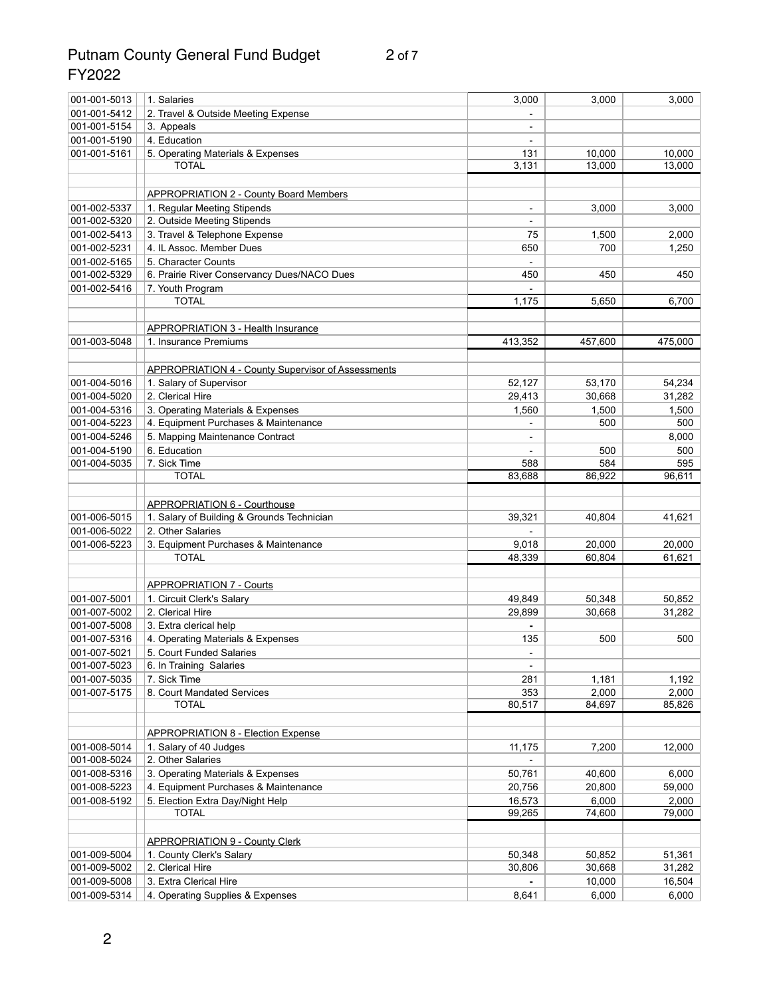# Putnam County General Fund Budget 2 of 7 FY2022

| 001-001-5013 | 1. Salaries                                               | 3,000                    | 3,000   | 3,000   |
|--------------|-----------------------------------------------------------|--------------------------|---------|---------|
| 001-001-5412 | 2. Travel & Outside Meeting Expense                       |                          |         |         |
| 001-001-5154 | 3. Appeals                                                |                          |         |         |
| 001-001-5190 | 4. Education                                              | $\overline{\phantom{a}}$ |         |         |
| 001-001-5161 | 5. Operating Materials & Expenses                         | 131                      | 10,000  | 10,000  |
|              | <b>TOTAL</b>                                              | 3,131                    | 13,000  | 13,000  |
|              |                                                           |                          |         |         |
|              | <b>APPROPRIATION 2 - County Board Members</b>             |                          |         |         |
| 001-002-5337 | 1. Regular Meeting Stipends                               | $\blacksquare$           | 3,000   | 3,000   |
| 001-002-5320 | 2. Outside Meeting Stipends                               |                          |         |         |
| 001-002-5413 | 3. Travel & Telephone Expense                             | 75                       | 1,500   | 2,000   |
| 001-002-5231 | 4. IL Assoc. Member Dues                                  | 650                      | 700     | 1,250   |
| 001-002-5165 | 5. Character Counts                                       |                          |         |         |
| 001-002-5329 | 6. Prairie River Conservancy Dues/NACO Dues               | 450                      | 450     | 450     |
| 001-002-5416 | 7. Youth Program                                          |                          |         |         |
|              | <b>TOTAL</b>                                              | 1,175                    | 5,650   | 6,700   |
|              |                                                           |                          |         |         |
|              | APPROPRIATION 3 - Health Insurance                        |                          |         |         |
| 001-003-5048 | 1. Insurance Premiums                                     | 413,352                  | 457,600 | 475,000 |
|              |                                                           |                          |         |         |
|              |                                                           |                          |         |         |
|              | <b>APPROPRIATION 4 - County Supervisor of Assessments</b> |                          |         |         |
| 001-004-5016 | 1. Salary of Supervisor                                   | 52,127                   | 53,170  | 54,234  |
| 001-004-5020 | 2. Clerical Hire                                          | 29,413                   | 30,668  | 31,282  |
| 001-004-5316 | 3. Operating Materials & Expenses                         | 1,560                    | 1,500   | 1,500   |
| 001-004-5223 | 4. Equipment Purchases & Maintenance                      |                          | 500     | 500     |
| 001-004-5246 | 5. Mapping Maintenance Contract                           |                          |         | 8,000   |
| 001-004-5190 | 6. Education                                              |                          | 500     | 500     |
| 001-004-5035 | 7. Sick Time                                              | 588                      | 584     | 595     |
|              | <b>TOTAL</b>                                              | 83,688                   | 86,922  | 96,611  |
|              |                                                           |                          |         |         |
|              | <b>APPROPRIATION 6 - Courthouse</b>                       |                          |         |         |
| 001-006-5015 | 1. Salary of Building & Grounds Technician                | 39,321                   | 40,804  | 41,621  |
| 001-006-5022 | 2. Other Salaries                                         |                          |         |         |
| 001-006-5223 | 3. Equipment Purchases & Maintenance                      | 9,018                    | 20,000  | 20,000  |
|              | <b>TOTAL</b>                                              | 48,339                   | 60,804  | 61,621  |
|              |                                                           |                          |         |         |
|              | <b>APPROPRIATION 7 - Courts</b>                           |                          |         |         |
| 001-007-5001 | 1. Circuit Clerk's Salary                                 | 49,849                   | 50,348  | 50,852  |
| 001-007-5002 | 2. Clerical Hire                                          | 29,899                   | 30,668  | 31,282  |
| 001-007-5008 | 3. Extra clerical help                                    |                          |         |         |
| 001-007-5316 | 4. Operating Materials & Expenses                         | 135                      | 500     | 500     |
| 001-007-5021 | 5. Court Funded Salaries                                  |                          |         |         |
| 001-007-5023 | 6. In Training Salaries                                   |                          |         |         |
| 001-007-5035 | 7. Sick Time                                              | 281                      | 1,181   | 1,192   |
| 001-007-5175 | 8. Court Mandated Services                                | 353                      | 2,000   | 2,000   |
|              | <b>TOTAL</b>                                              | 80,517                   | 84,697  | 85,826  |
|              |                                                           |                          |         |         |
|              | <b>APPROPRIATION 8 - Election Expense</b>                 |                          |         |         |
| 001-008-5014 | 1. Salary of 40 Judges                                    | 11,175                   | 7,200   | 12,000  |
| 001-008-5024 | 2. Other Salaries                                         |                          |         |         |
| 001-008-5316 | 3. Operating Materials & Expenses                         | 50,761                   | 40,600  | 6,000   |
| 001-008-5223 | 4. Equipment Purchases & Maintenance                      | 20,756                   | 20,800  | 59,000  |
| 001-008-5192 | 5. Election Extra Day/Night Help                          | 16,573                   | 6,000   | 2,000   |
|              | <b>TOTAL</b>                                              | 99,265                   | 74,600  | 79,000  |
|              |                                                           |                          |         |         |
|              | <b>APPROPRIATION 9 - County Clerk</b>                     |                          |         |         |
| 001-009-5004 | 1. County Clerk's Salary                                  | 50,348                   | 50,852  | 51,361  |
| 001-009-5002 | 2. Clerical Hire                                          | 30,806                   | 30,668  | 31,282  |
| 001-009-5008 | 3. Extra Clerical Hire                                    |                          | 10,000  | 16,504  |
| 001-009-5314 | 4. Operating Supplies & Expenses                          | 8,641                    | 6,000   | 6,000   |
|              |                                                           |                          |         |         |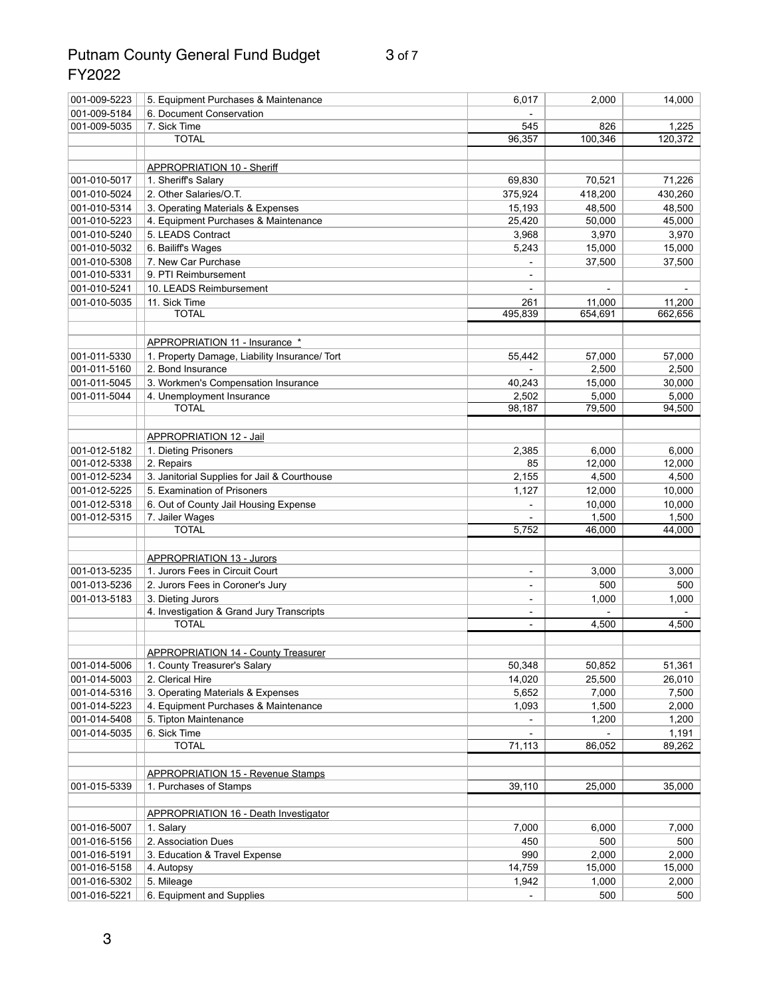## Putnam County General Fund Budget 3 of 7 FY2022

| 001-009-5223 | 5. Equipment Purchases & Maintenance                     | 6,017                    | 2,000   | 14,000  |
|--------------|----------------------------------------------------------|--------------------------|---------|---------|
| 001-009-5184 | 6. Document Conservation                                 |                          |         |         |
| 001-009-5035 | 7. Sick Time                                             | 545                      | 826     | 1,225   |
|              | <b>TOTAL</b>                                             | 96,357                   | 100,346 | 120,372 |
|              |                                                          |                          |         |         |
|              | <b>APPROPRIATION 10 - Sheriff</b>                        |                          |         |         |
| 001-010-5017 | 1. Sheriff's Salary                                      | 69,830                   | 70,521  | 71,226  |
| 001-010-5024 | 2. Other Salaries/O.T.                                   | 375,924                  | 418,200 | 430,260 |
| 001-010-5314 | 3. Operating Materials & Expenses                        | 15,193                   | 48,500  | 48,500  |
| 001-010-5223 | 4. Equipment Purchases & Maintenance                     | 25,420                   | 50,000  | 45,000  |
| 001-010-5240 | 5. LEADS Contract                                        | 3,968                    | 3,970   | 3,970   |
| 001-010-5032 | 6. Bailiff's Wages                                       | 5,243                    | 15,000  | 15,000  |
| 001-010-5308 | 7. New Car Purchase                                      |                          | 37,500  | 37,500  |
| 001-010-5331 | 9. PTI Reimbursement                                     |                          |         |         |
| 001-010-5241 | 10. LEADS Reimbursement                                  |                          |         |         |
| 001-010-5035 | 11. Sick Time                                            | 261                      | 11,000  | 11,200  |
|              | <b>TOTAL</b>                                             | 495,839                  | 654,691 | 662,656 |
|              |                                                          |                          |         |         |
|              | APPROPRIATION 11 - Insurance *                           |                          |         |         |
| 001-011-5330 | 1. Property Damage, Liability Insurance/ Tort            | 55,442                   | 57,000  | 57,000  |
| 001-011-5160 | 2. Bond Insurance                                        |                          | 2,500   | 2,500   |
| 001-011-5045 | 3. Workmen's Compensation Insurance                      | 40,243                   | 15,000  | 30,000  |
| 001-011-5044 | 4. Unemployment Insurance                                | 2,502                    | 5,000   | 5,000   |
|              | <b>TOTAL</b>                                             | 98,187                   | 79,500  | 94,500  |
|              |                                                          |                          |         |         |
|              | <b>APPROPRIATION 12 - Jail</b>                           |                          |         |         |
| 001-012-5182 | 1. Dieting Prisoners                                     | 2,385                    | 6,000   | 6,000   |
| 001-012-5338 | 2. Repairs                                               | 85                       | 12,000  | 12,000  |
| 001-012-5234 | 3. Janitorial Supplies for Jail & Courthouse             | 2,155                    | 4,500   | 4,500   |
| 001-012-5225 | 5. Examination of Prisoners                              | 1,127                    | 12,000  | 10,000  |
| 001-012-5318 |                                                          |                          | 10,000  | 10,000  |
| 001-012-5315 | 6. Out of County Jail Housing Expense<br>7. Jailer Wages |                          | 1,500   | 1,500   |
|              | <b>TOTAL</b>                                             | 5,752                    | 46,000  | 44,000  |
|              |                                                          |                          |         |         |
|              | <b>APPROPRIATION 13 - Jurors</b>                         |                          |         |         |
| 001-013-5235 | 1. Jurors Fees in Circuit Court                          | $\blacksquare$           | 3,000   | 3,000   |
| 001-013-5236 | 2. Jurors Fees in Coroner's Jury                         |                          | 500     | 500     |
| 001-013-5183 | 3. Dieting Jurors                                        |                          | 1,000   | 1,000   |
|              | 4. Investigation & Grand Jury Transcripts                | $\overline{\phantom{a}}$ |         |         |
|              | <b>TOTAL</b>                                             | $\overline{\phantom{a}}$ | 4,500   | 4,500   |
|              |                                                          |                          |         |         |
|              | <b>APPROPRIATION 14 - County Treasurer</b>               |                          |         |         |
| 001-014-5006 | 1. County Treasurer's Salary                             | 50,348                   | 50,852  | 51,361  |
| 001-014-5003 | 2. Clerical Hire                                         | 14,020                   | 25,500  | 26,010  |
| 001-014-5316 | 3. Operating Materials & Expenses                        | 5,652                    | 7,000   | 7,500   |
| 001-014-5223 | 4. Equipment Purchases & Maintenance                     | 1,093                    | 1,500   | 2,000   |
| 001-014-5408 | 5. Tipton Maintenance                                    |                          | 1,200   | 1,200   |
| 001-014-5035 | 6. Sick Time                                             |                          |         | 1,191   |
|              | <b>TOTAL</b>                                             | 71,113                   | 86,052  | 89,262  |
|              |                                                          |                          |         |         |
|              | <b>APPROPRIATION 15 - Revenue Stamps</b>                 |                          |         |         |
| 001-015-5339 | 1. Purchases of Stamps                                   | 39,110                   | 25,000  | 35,000  |
|              |                                                          |                          |         |         |
|              | APPROPRIATION 16 - Death Investigator                    |                          |         |         |
| 001-016-5007 | 1. Salary                                                | 7,000                    | 6,000   | 7,000   |
| 001-016-5156 | 2. Association Dues                                      | 450                      | 500     | 500     |
| 001-016-5191 | 3. Education & Travel Expense                            | 990                      | 2,000   | 2,000   |
| 001-016-5158 | 4. Autopsy                                               | 14,759                   | 15,000  | 15,000  |
| 001-016-5302 | 5. Mileage                                               | 1,942                    | 1,000   | 2,000   |
| 001-016-5221 | 6. Equipment and Supplies                                |                          | 500     | 500     |
|              |                                                          |                          |         |         |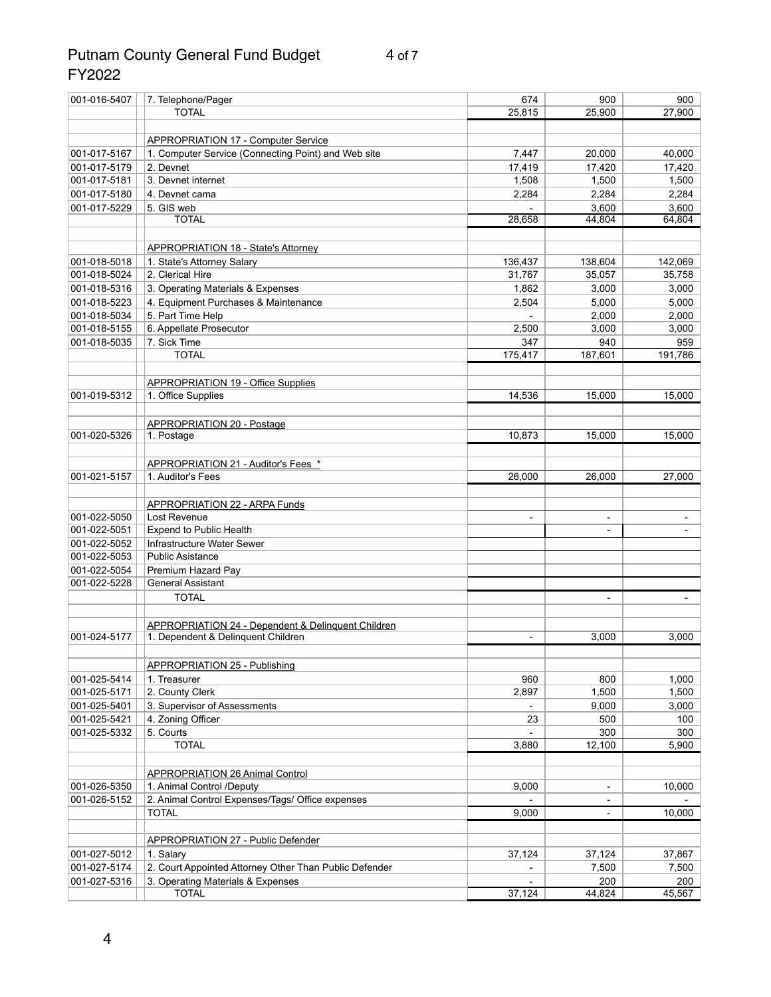## Putnam County General Fund Budget 4 of 7 FY2022

| 001-016-5407                 | 7. Telephone/Pager                                            | 674            | 900        | 900          |
|------------------------------|---------------------------------------------------------------|----------------|------------|--------------|
|                              | <b>TOTAL</b>                                                  | 25,815         | 25,900     | 27,900       |
|                              |                                                               |                |            |              |
|                              | <b>APPROPRIATION 17 - Computer Service</b>                    |                |            |              |
| 001-017-5167                 | 1. Computer Service (Connecting Point) and Web site           | 7,447          | 20,000     | 40,000       |
| 001-017-5179                 | 2. Devnet                                                     | 17,419         | 17,420     | 17,420       |
| 001-017-5181                 | 3. Devnet internet                                            | 1,508          | 1,500      | 1,500        |
| 001-017-5180                 | 4. Devnet cama                                                | 2,284          | 2,284      | 2,284        |
| 001-017-5229                 | 5. GIS web                                                    |                | 3,600      | 3,600        |
|                              | <b>TOTAL</b>                                                  | 28,658         | 44,804     | 64,804       |
|                              |                                                               |                |            |              |
|                              |                                                               |                |            |              |
|                              | <b>APPROPRIATION 18 - State's Attorney</b>                    |                |            |              |
| 001-018-5018<br>001-018-5024 | 1. State's Attorney Salary<br>2. Clerical Hire                | 136,437        | 138,604    | 142,069      |
|                              |                                                               | 31,767         | 35,057     | 35,758       |
| 001-018-5316                 | 3. Operating Materials & Expenses                             | 1,862          | 3,000      | 3,000        |
| 001-018-5223                 | 4. Equipment Purchases & Maintenance                          | 2,504          | 5,000      | 5,000        |
| 001-018-5034                 | 5. Part Time Help                                             |                | 2,000      | 2,000        |
| 001-018-5155                 | 6. Appellate Prosecutor                                       | 2,500          | 3,000      | 3,000        |
| 001-018-5035                 | 7. Sick Time                                                  | 347            | 940        | 959          |
|                              | <b>TOTAL</b>                                                  | 175,417        | 187,601    | 191,786      |
|                              |                                                               |                |            |              |
|                              | <b>APPROPRIATION 19 - Office Supplies</b>                     |                |            |              |
| 001-019-5312                 | 1. Office Supplies                                            | 14,536         | 15,000     | 15,000       |
|                              |                                                               |                |            |              |
|                              | <b>APPROPRIATION 20 - Postage</b>                             |                |            |              |
| 001-020-5326                 | 1. Postage                                                    | 10,873         | 15,000     | 15,000       |
|                              |                                                               |                |            |              |
|                              | APPROPRIATION 21 - Auditor's Fees *                           |                |            |              |
| 001-021-5157                 | 1. Auditor's Fees                                             | 26,000         | 26,000     | 27,000       |
|                              |                                                               |                |            |              |
|                              | <b>APPROPRIATION 22 - ARPA Funds</b>                          |                |            |              |
| 001-022-5050                 | Lost Revenue                                                  | $\blacksquare$ |            |              |
| 001-022-5051                 | <b>Expend to Public Health</b>                                |                |            |              |
| 001-022-5052                 | Infrastructure Water Sewer                                    |                |            |              |
| 001-022-5053                 | <b>Public Asistance</b>                                       |                |            |              |
| 001-022-5054                 | Premium Hazard Pay                                            |                |            |              |
| 001-022-5228                 | <b>General Assistant</b>                                      |                |            |              |
|                              | <b>TOTAL</b>                                                  |                |            |              |
|                              |                                                               |                |            |              |
|                              | <b>APPROPRIATION 24 - Dependent &amp; Delinquent Children</b> |                |            |              |
| 001-024-5177                 | 1. Dependent & Delinquent Children                            |                | 3,000      | 3,000        |
|                              |                                                               |                |            |              |
|                              | <b>APPROPRIATION 25 - Publishing</b>                          |                |            |              |
| 001-025-5414                 | 1. Treasurer                                                  | 960            | 800        | 1,000        |
| 001-025-5171                 | 2. County Clerk                                               | 2,897          | 1,500      | 1,500        |
| 001-025-5401                 |                                                               |                | 9,000      | 3,000        |
|                              | 3. Supervisor of Assessments<br>4. Zoning Officer             |                |            |              |
| 001-025-5421<br>001-025-5332 | 5. Courts                                                     | 23             | 500<br>300 | 100          |
|                              | <b>TOTAL</b>                                                  | 3,880          | 12,100     | 300<br>5,900 |
|                              |                                                               |                |            |              |
|                              |                                                               |                |            |              |
|                              | <b>APPROPRIATION 26 Animal Control</b>                        |                |            |              |
| 001-026-5350                 | 1. Animal Control /Deputy                                     | 9,000          |            | 10,000       |
| 001-026-5152                 | 2. Animal Control Expenses/Tags/ Office expenses              |                |            |              |
|                              | <b>TOTAL</b>                                                  | 9,000          |            | 10,000       |
|                              |                                                               |                |            |              |
|                              | <b>APPROPRIATION 27 - Public Defender</b>                     |                |            |              |
| 001-027-5012                 | 1. Salary                                                     | 37,124         | 37,124     | 37,867       |
| 001-027-5174                 | 2. Court Appointed Attorney Other Than Public Defender        |                | 7,500      | 7,500        |
| 001-027-5316                 | 3. Operating Materials & Expenses                             |                | 200        | 200          |
|                              | <b>TOTAL</b>                                                  | 37,124         | 44,824     | 45,567       |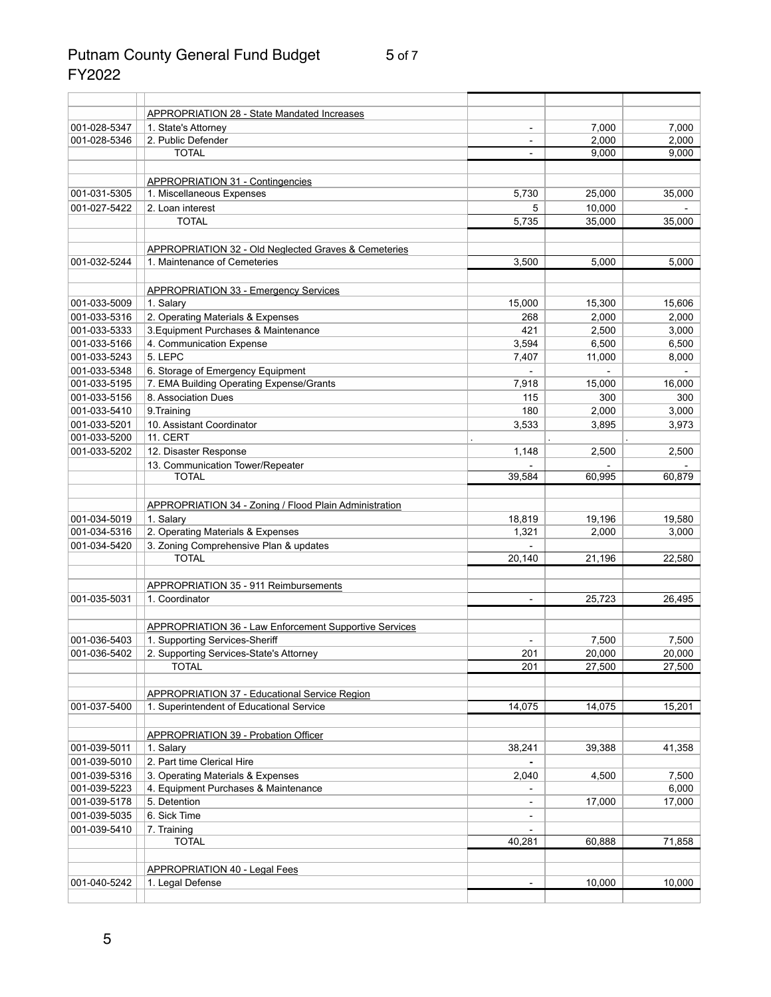## Putnam County General Fund Budget 5 of 7 FY2022

|              | <b>APPROPRIATION 28 - State Mandated Increases</b>                                   |                          |        |        |
|--------------|--------------------------------------------------------------------------------------|--------------------------|--------|--------|
| 001-028-5347 | 1. State's Attorney                                                                  | $\blacksquare$           | 7,000  | 7,000  |
| 001-028-5346 | 2. Public Defender                                                                   |                          | 2,000  | 2,000  |
|              | <b>TOTAL</b>                                                                         |                          | 9,000  | 9,000  |
|              | <b>APPROPRIATION 31 - Contingencies</b>                                              |                          |        |        |
| 001-031-5305 | 1. Miscellaneous Expenses                                                            | 5,730                    | 25,000 | 35,000 |
| 001-027-5422 | 2. Loan interest                                                                     | 5                        | 10,000 |        |
|              | <b>TOTAL</b>                                                                         | 5,735                    | 35,000 | 35,000 |
|              |                                                                                      |                          |        |        |
| 001-032-5244 | APPROPRIATION 32 - Old Neglected Graves & Cemeteries<br>1. Maintenance of Cemeteries | 3,500                    | 5,000  | 5,000  |
|              |                                                                                      |                          |        |        |
|              | <b>APPROPRIATION 33 - Emergency Services</b>                                         |                          |        |        |
| 001-033-5009 | 1. Salary                                                                            | 15,000                   | 15,300 | 15,606 |
| 001-033-5316 | 2. Operating Materials & Expenses                                                    | 268                      | 2,000  | 2,000  |
| 001-033-5333 | 3. Equipment Purchases & Maintenance                                                 | 421                      | 2,500  | 3,000  |
| 001-033-5166 | 4. Communication Expense                                                             | 3,594                    | 6,500  | 6,500  |
| 001-033-5243 | 5. LEPC                                                                              | 7,407                    | 11,000 | 8,000  |
| 001-033-5348 | 6. Storage of Emergency Equipment                                                    |                          |        |        |
| 001-033-5195 | 7. EMA Building Operating Expense/Grants                                             | 7,918                    | 15,000 | 16,000 |
| 001-033-5156 | 8. Association Dues                                                                  | 115                      | 300    | 300    |
| 001-033-5410 | 9. Training                                                                          | 180                      | 2,000  | 3,000  |
| 001-033-5201 | 10. Assistant Coordinator                                                            | 3,533                    | 3,895  | 3,973  |
| 001-033-5200 | <b>11. CERT</b>                                                                      |                          |        |        |
| 001-033-5202 | 12. Disaster Response                                                                | 1,148                    | 2,500  | 2,500  |
|              | 13. Communication Tower/Repeater                                                     |                          |        |        |
|              | <b>TOTAL</b>                                                                         | 39,584                   | 60,995 | 60,879 |
|              | <b>APPROPRIATION 34 - Zoning / Flood Plain Administration</b>                        |                          |        |        |
| 001-034-5019 | 1. Salary                                                                            | 18,819                   | 19,196 | 19,580 |
| 001-034-5316 | 2. Operating Materials & Expenses                                                    | 1,321                    | 2,000  | 3,000  |
| 001-034-5420 | 3. Zoning Comprehensive Plan & updates                                               |                          |        |        |
|              | <b>TOTAL</b>                                                                         | 20,140                   | 21,196 | 22,580 |
|              |                                                                                      |                          |        |        |
|              | APPROPRIATION 35 - 911 Reimbursements                                                |                          |        |        |
| 001-035-5031 | 1. Coordinator                                                                       | $\blacksquare$           | 25,723 | 26,495 |
|              | <b>APPROPRIATION 36 - Law Enforcement Supportive Services</b>                        |                          |        |        |
| 001-036-5403 | 1. Supporting Services-Sheriff                                                       | $\overline{\phantom{a}}$ | 7,500  | 7,500  |
| 001-036-5402 | 2. Supporting Services-State's Attorney                                              | 201                      | 20,000 | 20,000 |
|              | <b>TOTAL</b>                                                                         | 201                      | 27,500 | 27,500 |
|              |                                                                                      |                          |        |        |
|              | <b>APPROPRIATION 37 - Educational Service Region</b>                                 |                          |        |        |
| 001-037-5400 | 1. Superintendent of Educational Service                                             | 14,075                   | 14,075 | 15,201 |
|              | <b>APPROPRIATION 39 - Probation Officer</b>                                          |                          |        |        |
| 001-039-5011 | 1. Salary                                                                            | 38,241                   | 39,388 | 41,358 |
| 001-039-5010 | 2. Part time Clerical Hire                                                           |                          |        |        |
| 001-039-5316 | 3. Operating Materials & Expenses                                                    | 2,040                    | 4,500  | 7,500  |
| 001-039-5223 | 4. Equipment Purchases & Maintenance                                                 |                          |        | 6,000  |
| 001-039-5178 | 5. Detention                                                                         |                          | 17,000 | 17,000 |
| 001-039-5035 | 6. Sick Time                                                                         |                          |        |        |
| 001-039-5410 | 7. Training                                                                          |                          |        |        |
|              | <b>TOTAL</b>                                                                         | 40,281                   | 60,888 | 71,858 |
|              |                                                                                      |                          |        |        |
|              | <b>APPROPRIATION 40 - Legal Fees</b>                                                 |                          |        |        |
| 001-040-5242 | 1. Legal Defense                                                                     |                          | 10,000 | 10,000 |
|              |                                                                                      |                          |        |        |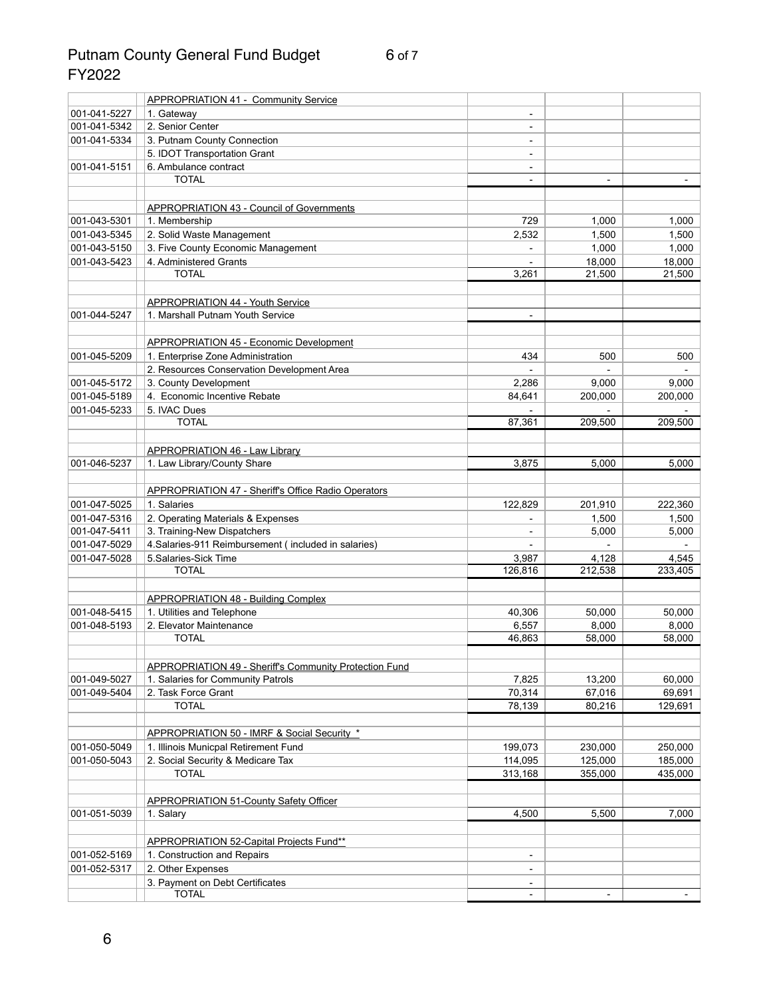## Putnam County General Fund Budget 6 of 7 FY2022

|              | <b>APPROPRIATION 41 - Community Service</b>                   |                              |                |         |
|--------------|---------------------------------------------------------------|------------------------------|----------------|---------|
| 001-041-5227 | 1. Gateway                                                    | $\qquad \qquad \blacksquare$ |                |         |
| 001-041-5342 | 2. Senior Center                                              | $\qquad \qquad$              |                |         |
| 001-041-5334 | 3. Putnam County Connection                                   |                              |                |         |
|              | 5. IDOT Transportation Grant                                  | $\qquad \qquad \blacksquare$ |                |         |
| 001-041-5151 | 6. Ambulance contract                                         | $\qquad \qquad \blacksquare$ |                |         |
|              | <b>TOTAL</b>                                                  | $\qquad \qquad \blacksquare$ | $\blacksquare$ |         |
|              |                                                               |                              |                |         |
|              | <b>APPROPRIATION 43 - Council of Governments</b>              |                              |                |         |
| 001-043-5301 | 1. Membership                                                 | 729                          | 1,000          | 1,000   |
| 001-043-5345 | 2. Solid Waste Management                                     | 2,532                        | 1,500          | 1,500   |
| 001-043-5150 | 3. Five County Economic Management                            |                              | 1,000          | 1,000   |
| 001-043-5423 | 4. Administered Grants                                        |                              | 18,000         | 18,000  |
|              | <b>TOTAL</b>                                                  | 3,261                        | 21,500         | 21,500  |
|              |                                                               |                              |                |         |
|              | <b>APPROPRIATION 44 - Youth Service</b>                       |                              |                |         |
| 001-044-5247 | 1. Marshall Putnam Youth Service                              | $\overline{\phantom{a}}$     |                |         |
|              |                                                               |                              |                |         |
|              | <b>APPROPRIATION 45 - Economic Development</b>                |                              |                |         |
| 001-045-5209 | 1. Enterprise Zone Administration                             | 434                          | 500            | 500     |
|              | 2. Resources Conservation Development Area                    |                              |                |         |
| 001-045-5172 | 3. County Development                                         | 2,286                        | 9,000          | 9,000   |
| 001-045-5189 | 4. Economic Incentive Rebate                                  | 84,641                       | 200,000        | 200,000 |
| 001-045-5233 | 5. IVAC Dues                                                  |                              |                |         |
|              | <b>TOTAL</b>                                                  | 87,361                       | 209,500        | 209,500 |
|              |                                                               |                              |                |         |
|              | <b>APPROPRIATION 46 - Law Library</b>                         |                              |                |         |
| 001-046-5237 | 1. Law Library/County Share                                   | 3,875                        | 5,000          | 5,000   |
|              |                                                               |                              |                |         |
|              | <b>APPROPRIATION 47 - Sheriff's Office Radio Operators</b>    |                              |                |         |
| 001-047-5025 | 1. Salaries                                                   | 122,829                      | 201,910        | 222,360 |
| 001-047-5316 | 2. Operating Materials & Expenses                             |                              | 1,500          | 1,500   |
| 001-047-5411 | 3. Training-New Dispatchers                                   |                              | 5,000          | 5,000   |
| 001-047-5029 | 4. Salaries-911 Reimbursement (included in salaries)          | $\blacksquare$               |                |         |
| 001-047-5028 | 5. Salaries-Sick Time                                         | 3,987                        | 4,128          | 4,545   |
|              | <b>TOTAL</b>                                                  | 126,816                      | 212,538        | 233,405 |
|              |                                                               |                              |                |         |
|              | <b>APPROPRIATION 48 - Building Complex</b>                    |                              |                |         |
| 001-048-5415 |                                                               | 40,306                       | 50,000         | 50,000  |
| 001-048-5193 | 1. Utilities and Telephone<br>2. Elevator Maintenance         | 6,557                        | 8,000          | 8,000   |
|              | <b>TOTAL</b>                                                  | 46,863                       | 58,000         | 58,000  |
|              |                                                               |                              |                |         |
|              |                                                               |                              |                |         |
| 001-049-5027 | <b>APPROPRIATION 49 - Sheriff's Community Protection Fund</b> | 7,825                        | 13,200         | 60,000  |
| 001-049-5404 | 1. Salaries for Community Patrols<br>2. Task Force Grant      | 70,314                       | 67,016         | 69,691  |
|              | <b>TOTAL</b>                                                  | 78,139                       | 80,216         | 129,691 |
|              |                                                               |                              |                |         |
|              | APPROPRIATION 50 - IMRF & Social Security *                   |                              |                |         |
| 001-050-5049 | 1. Illinois Municpal Retirement Fund                          |                              |                |         |
|              |                                                               | 199,073                      | 230,000        | 250,000 |
| 001-050-5043 | 2. Social Security & Medicare Tax<br><b>TOTAL</b>             | 114,095                      | 125,000        | 185,000 |
|              |                                                               | 313,168                      | 355,000        | 435,000 |
|              |                                                               |                              |                |         |
|              | <b>APPROPRIATION 51-County Safety Officer</b>                 |                              |                |         |
| 001-051-5039 | 1. Salary                                                     | 4,500                        | 5,500          | 7,000   |
|              |                                                               |                              |                |         |
|              | APPROPRIATION 52-Capital Projects Fund**                      |                              |                |         |
| 001-052-5169 | 1. Construction and Repairs                                   | -                            |                |         |
| 001-052-5317 | 2. Other Expenses                                             | $\qquad \qquad$              |                |         |
|              | 3. Payment on Debt Certificates                               |                              |                |         |
|              | <b>TOTAL</b>                                                  |                              |                |         |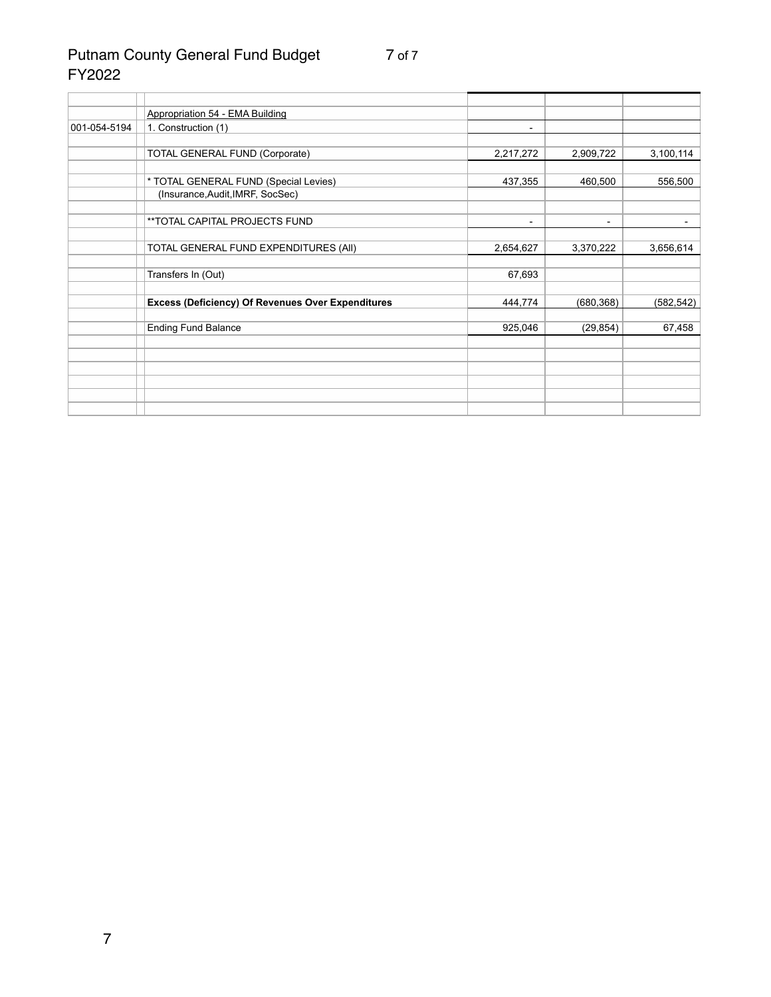# Putnam County General Fund Budget 7 of 7 FY2022

|              | <b>Appropriation 54 - EMA Building</b>                   |           |                          |            |
|--------------|----------------------------------------------------------|-----------|--------------------------|------------|
| 001-054-5194 | 1. Construction (1)                                      |           |                          |            |
|              |                                                          |           |                          |            |
|              | <b>TOTAL GENERAL FUND (Corporate)</b>                    | 2,217,272 | 2,909,722                | 3,100,114  |
|              |                                                          |           |                          |            |
|              | * TOTAL GENERAL FUND (Special Levies)                    | 437,355   | 460,500                  | 556,500    |
|              | (Insurance, Audit, IMRF, SocSec)                         |           |                          |            |
|              |                                                          |           |                          |            |
|              | **TOTAL CAPITAL PROJECTS FUND                            |           | $\overline{\phantom{a}}$ |            |
|              |                                                          |           |                          |            |
|              | TOTAL GENERAL FUND EXPENDITURES (AII)                    | 2,654,627 | 3,370,222                | 3,656,614  |
|              |                                                          |           |                          |            |
|              | Transfers In (Out)                                       | 67,693    |                          |            |
|              |                                                          |           |                          |            |
|              | <b>Excess (Deficiency) Of Revenues Over Expenditures</b> | 444,774   | (680, 368)               | (582, 542) |
|              |                                                          |           |                          |            |
|              | <b>Ending Fund Balance</b>                               | 925,046   | (29, 854)                | 67,458     |
|              |                                                          |           |                          |            |
|              |                                                          |           |                          |            |
|              |                                                          |           |                          |            |
|              |                                                          |           |                          |            |
|              |                                                          |           |                          |            |
|              |                                                          |           |                          |            |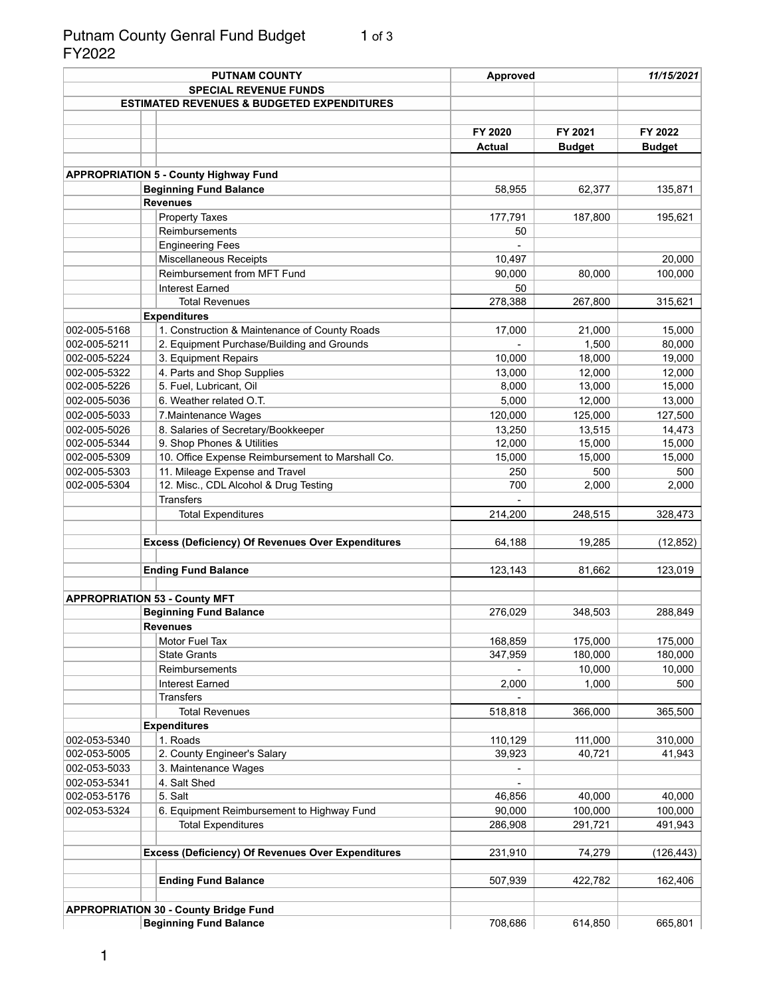#### Putnam County Genral Fund Budget 1 of 3 FY2022

|              | <b>PUTNAM COUNTY</b> |                                                          | <b>Approved</b> |               | 11/15/2021    |  |
|--------------|----------------------|----------------------------------------------------------|-----------------|---------------|---------------|--|
|              |                      | <b>SPECIAL REVENUE FUNDS</b>                             |                 |               |               |  |
|              |                      | <b>ESTIMATED REVENUES &amp; BUDGETED EXPENDITURES</b>    |                 |               |               |  |
|              |                      |                                                          |                 |               |               |  |
|              |                      |                                                          | FY 2020         | FY 2021       | FY 2022       |  |
|              |                      |                                                          | <b>Actual</b>   |               |               |  |
|              |                      |                                                          |                 | <b>Budget</b> | <b>Budget</b> |  |
|              |                      |                                                          |                 |               |               |  |
|              |                      | <b>APPROPRIATION 5 - County Highway Fund</b>             |                 |               |               |  |
|              |                      | <b>Beginning Fund Balance</b><br><b>Revenues</b>         | 58,955          | 62,377        | 135,871       |  |
|              |                      |                                                          |                 |               |               |  |
|              |                      | <b>Property Taxes</b>                                    | 177,791         | 187,800       | 195,621       |  |
|              |                      | Reimbursements                                           | 50              |               |               |  |
|              |                      | <b>Engineering Fees</b>                                  |                 |               |               |  |
|              |                      | Miscellaneous Receipts                                   | 10,497          |               | 20,000        |  |
|              |                      | Reimbursement from MFT Fund                              | 90,000          | 80,000        | 100,000       |  |
|              |                      | <b>Interest Earned</b>                                   | 50              |               |               |  |
|              |                      | <b>Total Revenues</b>                                    | 278,388         | 267,800       | 315,621       |  |
|              |                      | <b>Expenditures</b>                                      |                 |               |               |  |
| 002-005-5168 |                      | 1. Construction & Maintenance of County Roads            | 17,000          | 21,000        | 15,000        |  |
| 002-005-5211 |                      | 2. Equipment Purchase/Building and Grounds               |                 | 1,500         | 80,000        |  |
| 002-005-5224 |                      | 3. Equipment Repairs                                     | 10,000          | 18,000        | 19,000        |  |
| 002-005-5322 |                      | 4. Parts and Shop Supplies                               | 13,000          | 12,000        | 12,000        |  |
| 002-005-5226 |                      | 5. Fuel, Lubricant, Oil                                  | 8,000           | 13,000        | 15,000        |  |
| 002-005-5036 |                      | 6. Weather related O.T.                                  | 5,000           | 12,000        | 13,000        |  |
| 002-005-5033 |                      | 7. Maintenance Wages                                     | 120,000         | 125,000       | 127,500       |  |
| 002-005-5026 |                      | 8. Salaries of Secretary/Bookkeeper                      | 13,250          | 13,515        | 14,473        |  |
| 002-005-5344 |                      | 9. Shop Phones & Utilities                               | 12,000          | 15,000        | 15,000        |  |
| 002-005-5309 |                      | 10. Office Expense Reimbursement to Marshall Co.         | 15,000          | 15,000        | 15,000        |  |
| 002-005-5303 |                      | 11. Mileage Expense and Travel                           | 250             | 500           | 500           |  |
| 002-005-5304 |                      | 12. Misc., CDL Alcohol & Drug Testing                    | 700             | 2,000         | 2,000         |  |
|              |                      | <b>Transfers</b>                                         |                 |               |               |  |
|              |                      | <b>Total Expenditures</b>                                | 214,200         | 248,515       |               |  |
|              |                      |                                                          |                 |               | 328,473       |  |
|              |                      |                                                          |                 |               |               |  |
|              |                      | <b>Excess (Deficiency) Of Revenues Over Expenditures</b> | 64,188          | 19,285        | (12, 852)     |  |
|              |                      |                                                          |                 |               |               |  |
|              |                      | <b>Ending Fund Balance</b>                               | 123,143         | 81,662        | 123,019       |  |
|              |                      |                                                          |                 |               |               |  |
|              |                      | <b>APPROPRIATION 53 - County MFT</b>                     |                 |               |               |  |
|              |                      | <b>Beginning Fund Balance</b>                            | 276,029         | 348,503       | 288,849       |  |
|              |                      | <b>Revenues</b>                                          |                 |               |               |  |
|              |                      | Motor Fuel Tax                                           | 168,859         | 175,000       | 175,000       |  |
|              |                      | <b>State Grants</b>                                      | 347,959         | 180,000       | 180,000       |  |
|              |                      | Reimbursements                                           |                 | 10,000        | 10,000        |  |
|              |                      | <b>Interest Earned</b>                                   | 2,000           | 1,000         | 500           |  |
|              |                      | <b>Transfers</b>                                         |                 |               |               |  |
|              |                      | <b>Total Revenues</b>                                    | 518,818         | 366,000       | 365,500       |  |
|              |                      | <b>Expenditures</b>                                      |                 |               |               |  |
| 002-053-5340 |                      | 1. Roads                                                 | 110,129         | 111,000       | 310,000       |  |
| 002-053-5005 |                      | 2. County Engineer's Salary                              | 39,923          | 40,721        | 41,943        |  |
| 002-053-5033 |                      | 3. Maintenance Wages                                     |                 |               |               |  |
| 002-053-5341 |                      | 4. Salt Shed                                             |                 |               |               |  |
| 002-053-5176 |                      | 5. Salt                                                  | 46,856          | 40,000        | 40,000        |  |
| 002-053-5324 |                      | 6. Equipment Reimbursement to Highway Fund               | 90,000          | 100,000       | 100,000       |  |
|              |                      | <b>Total Expenditures</b>                                | 286,908         | 291,721       | 491,943       |  |
|              |                      |                                                          |                 |               |               |  |
|              |                      | <b>Excess (Deficiency) Of Revenues Over Expenditures</b> | 231,910         | 74,279        | (126, 443)    |  |
|              |                      |                                                          |                 |               |               |  |
|              |                      |                                                          |                 |               |               |  |
|              |                      | <b>Ending Fund Balance</b>                               | 507,939         | 422,782       | 162,406       |  |
|              |                      |                                                          |                 |               |               |  |
|              |                      | <b>APPROPRIATION 30 - County Bridge Fund</b>             |                 |               |               |  |
|              |                      | <b>Beginning Fund Balance</b>                            | 708,686         | 614,850       | 665,801       |  |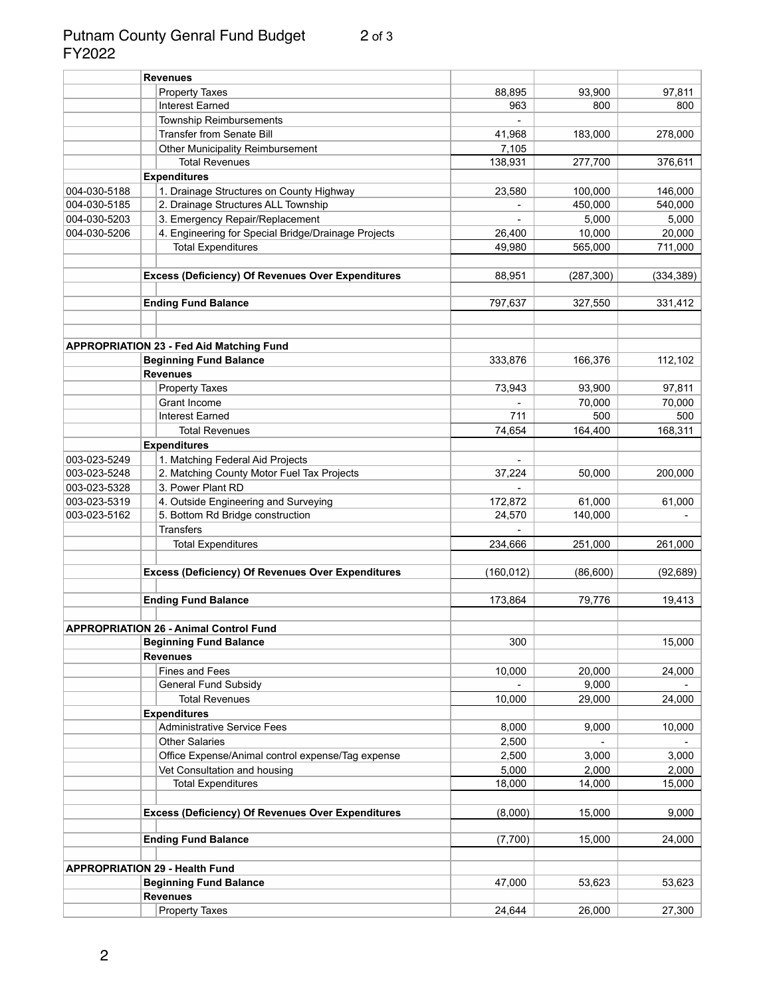#### Putnam County Genral Fund Budget 2 of 3 FY2022

|              | <b>Revenues</b>                                             |            |            |            |
|--------------|-------------------------------------------------------------|------------|------------|------------|
|              | <b>Property Taxes</b>                                       | 88,895     | 93,900     | 97,811     |
|              | <b>Interest Earned</b>                                      | 963        | 800        | 800        |
|              | <b>Township Reimbursements</b>                              |            |            |            |
|              | <b>Transfer from Senate Bill</b>                            | 41,968     | 183,000    | 278,000    |
|              | <b>Other Municipality Reimbursement</b>                     | 7,105      |            |            |
|              | <b>Total Revenues</b>                                       | 138,931    | 277,700    | 376,611    |
|              | <b>Expenditures</b>                                         |            |            |            |
| 004-030-5188 | 1. Drainage Structures on County Highway                    | 23,580     | 100,000    | 146,000    |
| 004-030-5185 | 2. Drainage Structures ALL Township                         |            | 450,000    | 540,000    |
| 004-030-5203 | 3. Emergency Repair/Replacement                             |            | 5,000      | 5,000      |
| 004-030-5206 | 4. Engineering for Special Bridge/Drainage Projects         | 26,400     | 10,000     | 20,000     |
|              | <b>Total Expenditures</b>                                   | 49,980     | 565,000    | 711,000    |
|              |                                                             |            |            |            |
|              | <b>Excess (Deficiency) Of Revenues Over Expenditures</b>    | 88,951     | (287, 300) | (334, 389) |
|              |                                                             |            |            |            |
|              | <b>Ending Fund Balance</b>                                  | 797,637    | 327,550    | 331,412    |
|              |                                                             |            |            |            |
|              |                                                             |            |            |            |
|              | <b>APPROPRIATION 23 - Fed Aid Matching Fund</b>             |            |            |            |
|              | <b>Beginning Fund Balance</b>                               | 333,876    | 166,376    | 112,102    |
|              | <b>Revenues</b>                                             |            |            |            |
|              | <b>Property Taxes</b>                                       | 73,943     | 93,900     | 97,811     |
|              | Grant Income                                                |            | 70,000     | 70,000     |
|              | <b>Interest Earned</b>                                      | 711        | 500        | 500        |
|              | <b>Total Revenues</b>                                       | 74,654     | 164,400    | 168,311    |
|              | <b>Expenditures</b>                                         |            |            |            |
| 003-023-5249 | 1. Matching Federal Aid Projects                            |            |            |            |
| 003-023-5248 | 2. Matching County Motor Fuel Tax Projects                  | 37,224     | 50,000     | 200,000    |
| 003-023-5328 | 3. Power Plant RD                                           |            |            |            |
| 003-023-5319 | 4. Outside Engineering and Surveying                        | 172,872    | 61,000     | 61,000     |
| 003-023-5162 | 5. Bottom Rd Bridge construction                            | 24,570     | 140,000    |            |
|              | <b>Transfers</b>                                            |            |            |            |
|              | <b>Total Expenditures</b>                                   | 234,666    | 251,000    | 261,000    |
|              | <b>Excess (Deficiency) Of Revenues Over Expenditures</b>    | (160, 012) | (86, 600)  | (92, 689)  |
|              |                                                             |            |            |            |
|              | <b>Ending Fund Balance</b>                                  | 173,864    | 79,776     | 19,413     |
|              | <b>APPROPRIATION 26 - Animal Control Fund</b>               |            |            |            |
|              | <b>Beginning Fund Balance</b>                               | 300        |            | 15,000     |
|              | <b>Revenues</b>                                             |            |            |            |
|              | <b>Fines and Fees</b>                                       | 10,000     | 20,000     | 24,000     |
|              | <b>General Fund Subsidy</b>                                 |            | 9,000      |            |
|              | <b>Total Revenues</b>                                       | 10,000     | 29,000     |            |
|              |                                                             |            |            | 24,000     |
|              | <b>Expenditures</b>                                         |            |            |            |
|              | <b>Administrative Service Fees</b><br><b>Other Salaries</b> | 8,000      | 9,000      | 10,000     |
|              |                                                             | 2,500      |            |            |
|              | Office Expense/Animal control expense/Tag expense           | 2,500      | 3,000      | 3,000      |
|              | Vet Consultation and housing                                | 5,000      | 2,000      | 2,000      |
|              | <b>Total Expenditures</b>                                   | 18,000     | 14,000     | 15,000     |
|              | <b>Excess (Deficiency) Of Revenues Over Expenditures</b>    | (8,000)    | 15,000     | 9,000      |
|              |                                                             |            |            |            |
|              | <b>Ending Fund Balance</b>                                  | (7,700)    | 15,000     | 24,000     |
|              | <b>APPROPRIATION 29 - Health Fund</b>                       |            |            |            |
|              | <b>Beginning Fund Balance</b>                               | 47,000     | 53,623     | 53,623     |
|              | <b>Revenues</b>                                             |            |            |            |
|              | <b>Property Taxes</b>                                       | 24,644     | 26,000     | 27,300     |